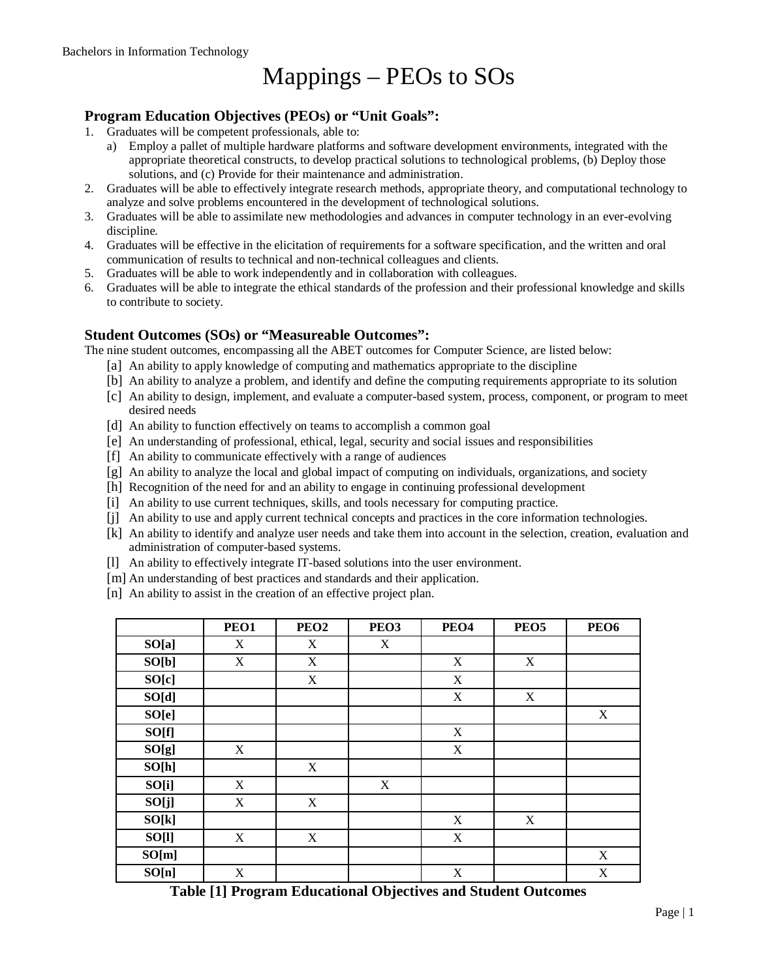# Mappings – PEOs to SOs

#### **Program Education Objectives (PEOs) or "Unit Goals":**

- 1. Graduates will be competent professionals, able to:
	- a) Employ a pallet of multiple hardware platforms and software development environments, integrated with the appropriate theoretical constructs, to develop practical solutions to technological problems, (b) Deploy those solutions, and (c) Provide for their maintenance and administration.
- 2. Graduates will be able to effectively integrate research methods, appropriate theory, and computational technology to analyze and solve problems encountered in the development of technological solutions.
- 3. Graduates will be able to assimilate new methodologies and advances in computer technology in an ever-evolving discipline.
- 4. Graduates will be effective in the elicitation of requirements for a software specification, and the written and oral communication of results to technical and non-technical colleagues and clients.
- 5. Graduates will be able to work independently and in collaboration with colleagues.
- 6. Graduates will be able to integrate the ethical standards of the profession and their professional knowledge and skills to contribute to society.

#### **Student Outcomes (SOs) or "Measureable Outcomes":**

The nine student outcomes, encompassing all the ABET outcomes for Computer Science, are listed below:

- [a] An ability to apply knowledge of computing and mathematics appropriate to the discipline
- [b] An ability to analyze a problem, and identify and define the computing requirements appropriate to its solution
- [c] An ability to design, implement, and evaluate a computer-based system, process, component, or program to meet desired needs
- [d] An ability to function effectively on teams to accomplish a common goal
- [e] An understanding of professional, ethical, legal, security and social issues and responsibilities
- [f] An ability to communicate effectively with a range of audiences
- [g] An ability to analyze the local and global impact of computing on individuals, organizations, and society
- [h] Recognition of the need for and an ability to engage in continuing professional development
- [i] An ability to use current techniques, skills, and tools necessary for computing practice.
- [j] An ability to use and apply current technical concepts and practices in the core information technologies.
- [k] An ability to identify and analyze user needs and take them into account in the selection, creation, evaluation and administration of computer-based systems.
- [l] An ability to effectively integrate IT-based solutions into the user environment.
- [m] An understanding of best practices and standards and their application.
- [n] An ability to assist in the creation of an effective project plan.

|       | PEO1 | PEO <sub>2</sub> | PEO <sub>3</sub> | PEO <sub>4</sub> | PEO <sub>5</sub> | <b>PEO6</b> |
|-------|------|------------------|------------------|------------------|------------------|-------------|
| SO[a] | X    | X                | X                |                  |                  |             |
| SO[b] | X    | X                |                  | X                | X                |             |
| SO[c] |      | X                |                  | X                |                  |             |
| SO[d] |      |                  |                  | X                | X                |             |
| SO[e] |      |                  |                  |                  |                  | X           |
| SO[f] |      |                  |                  | X                |                  |             |
| SO[g] | X    |                  |                  | X                |                  |             |
| SO[h] |      | X                |                  |                  |                  |             |
| SO[i] | X    |                  | X                |                  |                  |             |
| SO[j] | X    | X                |                  |                  |                  |             |
| SO[k] |      |                  |                  | X                | X                |             |
| SO[l] | X    | X                |                  | $\mathbf X$      |                  |             |
| SO[m] |      |                  |                  |                  |                  | X           |
| SO[n] | X    |                  |                  | X                |                  | X           |

**Table [1] Program Educational Objectives and Student Outcomes**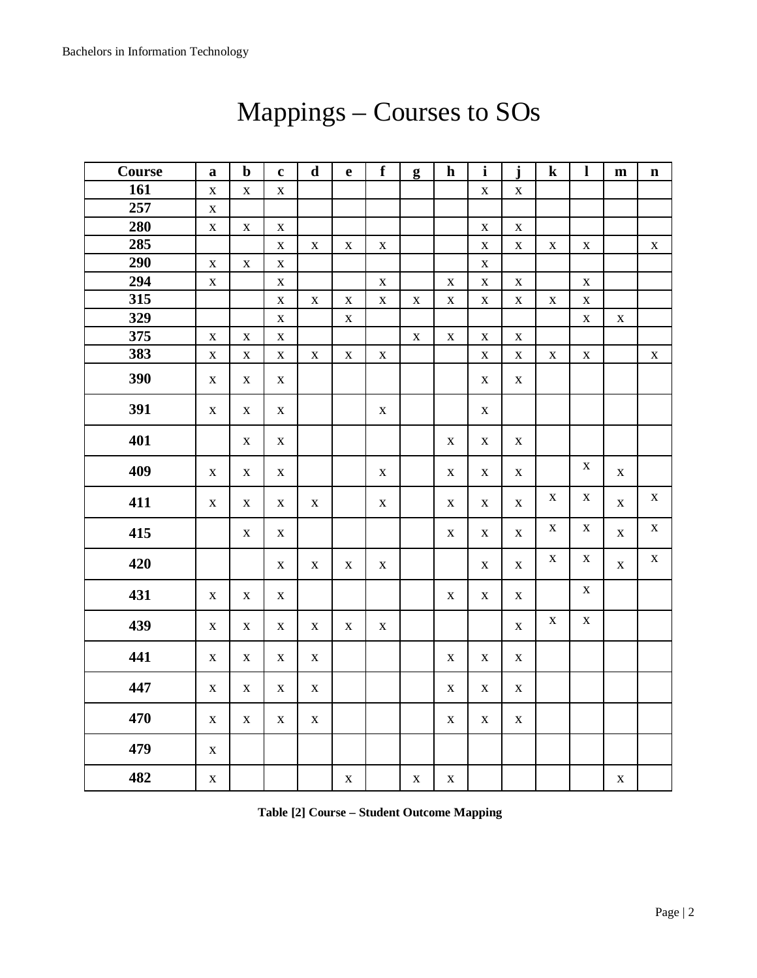| Course | $\mathbf a$ | $\mathbf b$ | $\mathbf c$  | $\mathbf d$  | $\mathbf e$ | $\mathbf f$ | g           | $\mathbf h$ | $\mathbf{i}$ | $\mathbf{i}$ | $\bf k$      | $\mathbf{l}$ | ${\bf m}$    | $\mathbf n$ |
|--------|-------------|-------------|--------------|--------------|-------------|-------------|-------------|-------------|--------------|--------------|--------------|--------------|--------------|-------------|
| 161    | $\mathbf X$ | $\mathbf X$ | $\mathbf X$  |              |             |             |             |             | $\mathbf X$  | $\mathbf X$  |              |              |              |             |
| 257    | $\mathbf X$ |             |              |              |             |             |             |             |              |              |              |              |              |             |
| 280    | $\mathbf X$ | $\mathbf X$ | $\mathbf X$  |              |             |             |             |             | X            | $\mathbf X$  |              |              |              |             |
| 285    |             |             | $\mathbf X$  | $\mathbf X$  | $\mathbf X$ | $\mathbf X$ |             |             | $\mathbf X$  | $\mathbf X$  | $\mathbf X$  | $\mathbf X$  |              | $\mathbf X$ |
| 290    | $\mathbf X$ | $\mathbf X$ | $\mathbf X$  |              |             |             |             |             | $\mathbf X$  |              |              |              |              |             |
| 294    | $\mathbf X$ |             | $\mathbf X$  |              |             | $\mathbf X$ |             | $\mathbf X$ | $\mathbf X$  | $\mathbf X$  |              | $\mathbf X$  |              |             |
| 315    |             |             | $\mathbf X$  | $\mathbf X$  | $\mathbf X$ | $\mathbf X$ | $\mathbf X$ | $\mathbf X$ | $\mathbf X$  | $\mathbf X$  | $\mathbf X$  | $\mathbf X$  |              |             |
| 329    |             |             | $\mathbf X$  |              | $\mathbf X$ |             |             |             |              |              |              | $\mathbf X$  | $\mathbf X$  |             |
| 375    | $\mathbf X$ | $\mathbf X$ | $\mathbf X$  |              |             |             | $\mathbf X$ | $\mathbf X$ | $\mathbf X$  | $\mathbf X$  |              |              |              |             |
| 383    | $\mathbf X$ | $\mathbf X$ | $\mathbf X$  | $\mathbf X$  | $\mathbf X$ | $\mathbf X$ |             |             | $\mathbf X$  | $\mathbf X$  | $\mathbf X$  | $\mathbf X$  |              | $\mathbf X$ |
| 390    | $\mathbf X$ | $\mathbf X$ | $\mathbf X$  |              |             |             |             |             | X            | $\mathbf X$  |              |              |              |             |
| 391    | $\mathbf X$ | $\mathbf X$ | $\mathbf X$  |              |             | $\mathbf X$ |             |             | $\mathbf X$  |              |              |              |              |             |
| 401    |             | $\mathbf X$ | $\mathbf X$  |              |             |             |             | $\mathbf X$ | $\mathbf X$  | $\mathbf X$  |              |              |              |             |
| 409    | $\mathbf X$ | $\mathbf X$ | $\mathbf{X}$ |              |             | $\mathbf X$ |             | $\mathbf X$ | X            | $\mathbf{X}$ |              | $\mathbf X$  | $\mathbf{X}$ |             |
| 411    | $\mathbf X$ | $\mathbf X$ | $\mathbf X$  | $\mathbf X$  |             | $\mathbf X$ |             | $\mathbf X$ | X            | $\mathbf X$  | $\mathbf X$  | $\mathbf X$  | $\mathbf X$  | $\mathbf X$ |
| 415    |             | $\mathbf X$ | $\mathbf X$  |              |             |             |             | X           | $\mathbf X$  | $\mathbf X$  | $\mathbf{X}$ | $\mathbf X$  | $\mathbf X$  | $\mathbf X$ |
| 420    |             |             | $\mathbf{X}$ | $\mathbf{X}$ | $\mathbf X$ | $\mathbf X$ |             |             | X            | $\mathbf X$  | $\mathbf X$  | X            | $\mathbf X$  | $\mathbf X$ |
| 431    | $\mathbf X$ | $\mathbf X$ | $\mathbf X$  |              |             |             |             | $\mathbf X$ | X            | $\mathbf X$  |              | $\mathbf X$  |              |             |
| 439    | $\mathbf X$ | $\mathbf X$ | $\mathbf X$  | $\mathbf X$  | $\mathbf X$ | $\mathbf X$ |             |             |              | $\mathbf X$  | $\mathbf X$  | $\mathbf X$  |              |             |
| 441    | $\mathbf X$ | $\mathbf X$ | $\mathbf X$  | $\mathbf X$  |             |             |             | $\mathbf X$ | $\mathbf X$  | $\mathbf X$  |              |              |              |             |
| 447    | $\mathbf X$ | $\mathbf X$ | $\mathbf X$  | $\mathbf X$  |             |             |             | $\mathbf X$ | X            | $\mathbf X$  |              |              |              |             |
| 470    | $\mathbf X$ | $\mathbf X$ | $\mathbf X$  | $\mathbf X$  |             |             |             | X           | X            | $\mathbf X$  |              |              |              |             |
| 479    | $\mathbf X$ |             |              |              |             |             |             |             |              |              |              |              |              |             |
| 482    | $\mathbf X$ |             |              |              | $\mathbf X$ |             | $\mathbf X$ | $\mathbf X$ |              |              |              |              | $\mathbf X$  |             |

# Mappings – Courses to SOs

**Table [2] Course – Student Outcome Mapping**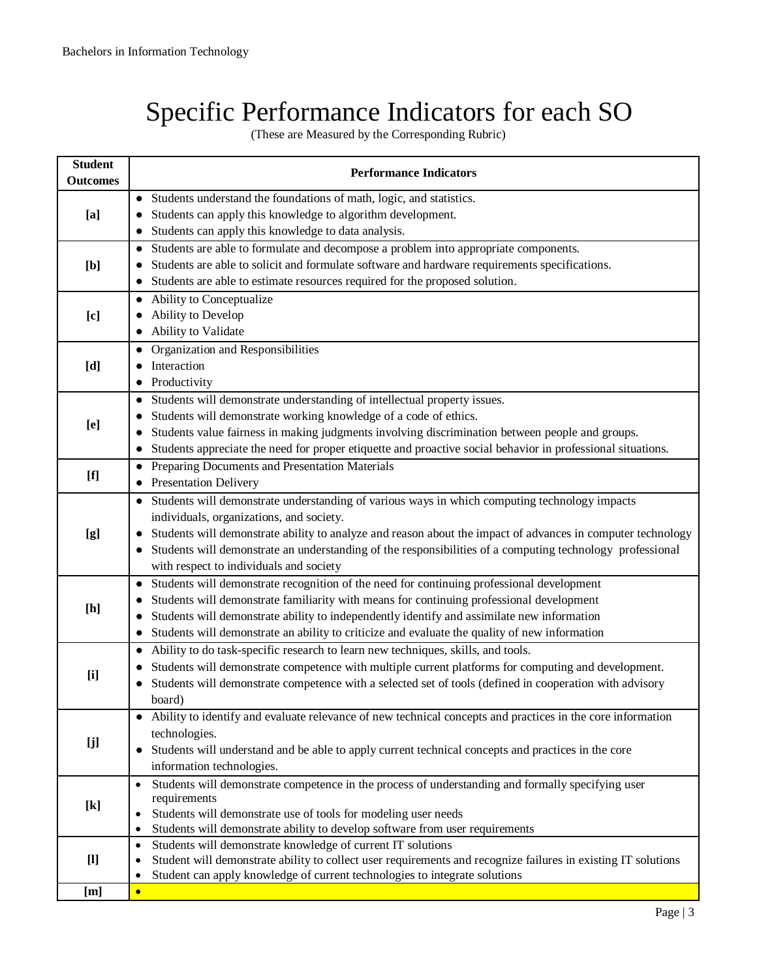# Specific Performance Indicators for each SO

(These are Measured by the Corresponding Rubric)

| Students understand the foundations of math, logic, and statistics.<br>$\bullet$<br>Students can apply this knowledge to algorithm development.<br>[a]<br>Students can apply this knowledge to data analysis.<br>• Students are able to formulate and decompose a problem into appropriate components.<br>Students are able to solicit and formulate software and hardware requirements specifications.<br>[b]<br>Students are able to estimate resources required for the proposed solution.<br>• Ability to Conceptualize<br>Ability to Develop<br>[c]<br>Ability to Validate<br>Organization and Responsibilities<br>Interaction<br>[d]<br>Productivity<br>Students will demonstrate understanding of intellectual property issues.<br>$\bullet$<br>Students will demonstrate working knowledge of a code of ethics.<br>$\bullet$<br>[e]<br>Students value fairness in making judgments involving discrimination between people and groups.<br>$\bullet$<br>Students appreciate the need for proper etiquette and proactive social behavior in professional situations.<br>Preparing Documents and Presentation Materials<br>$\bullet$<br>• Presentation Delivery<br>• Students will demonstrate understanding of various ways in which computing technology impacts<br>individuals, organizations, and society.<br>Students will demonstrate ability to analyze and reason about the impact of advances in computer technology<br>[g]<br>Students will demonstrate an understanding of the responsibilities of a computing technology professional<br>with respect to individuals and society<br>Students will demonstrate recognition of the need for continuing professional development<br>$\bullet$<br>Students will demonstrate familiarity with means for continuing professional development<br>[h]<br>Students will demonstrate ability to independently identify and assimilate new information<br>$\bullet$<br>Students will demonstrate an ability to criticize and evaluate the quality of new information<br>$\bullet$<br>Ability to do task-specific research to learn new techniques, skills, and tools.<br>$\bullet$<br>Students will demonstrate competence with multiple current platforms for computing and development.<br>[i]<br>Students will demonstrate competence with a selected set of tools (defined in cooperation with advisory<br>board)<br>• Ability to identify and evaluate relevance of new technical concepts and practices in the core information<br>technologies.<br>[j]<br>Students will understand and be able to apply current technical concepts and practices in the core<br>$\bullet$<br>information technologies.<br>Students will demonstrate competence in the process of understanding and formally specifying user<br>requirements<br>$[k]$<br>Students will demonstrate use of tools for modeling user needs<br>Students will demonstrate ability to develop software from user requirements<br>٠<br>Students will demonstrate knowledge of current IT solutions<br>$\bullet$<br>$[1]$<br>Student will demonstrate ability to collect user requirements and recognize failures in existing IT solutions<br>٠<br>Student can apply knowledge of current technologies to integrate solutions<br>[m]<br>$\bullet$ | <b>Student</b><br><b>Outcomes</b> | <b>Performance Indicators</b> |
|-----------------------------------------------------------------------------------------------------------------------------------------------------------------------------------------------------------------------------------------------------------------------------------------------------------------------------------------------------------------------------------------------------------------------------------------------------------------------------------------------------------------------------------------------------------------------------------------------------------------------------------------------------------------------------------------------------------------------------------------------------------------------------------------------------------------------------------------------------------------------------------------------------------------------------------------------------------------------------------------------------------------------------------------------------------------------------------------------------------------------------------------------------------------------------------------------------------------------------------------------------------------------------------------------------------------------------------------------------------------------------------------------------------------------------------------------------------------------------------------------------------------------------------------------------------------------------------------------------------------------------------------------------------------------------------------------------------------------------------------------------------------------------------------------------------------------------------------------------------------------------------------------------------------------------------------------------------------------------------------------------------------------------------------------------------------------------------------------------------------------------------------------------------------------------------------------------------------------------------------------------------------------------------------------------------------------------------------------------------------------------------------------------------------------------------------------------------------------------------------------------------------------------------------------------------------------------------------------------------------------------------------------------------------------------------------------------------------------------------------------------------------------------------------------------------------------------------------------------------------------------------------------------------------------------------------------------------------------------------------------------------------------------------------------------------------------------------------------------------------------------------------------------------------------------------------------------------------------------------------------------------------------|-----------------------------------|-------------------------------|
|                                                                                                                                                                                                                                                                                                                                                                                                                                                                                                                                                                                                                                                                                                                                                                                                                                                                                                                                                                                                                                                                                                                                                                                                                                                                                                                                                                                                                                                                                                                                                                                                                                                                                                                                                                                                                                                                                                                                                                                                                                                                                                                                                                                                                                                                                                                                                                                                                                                                                                                                                                                                                                                                                                                                                                                                                                                                                                                                                                                                                                                                                                                                                                                                                                                                       |                                   |                               |
|                                                                                                                                                                                                                                                                                                                                                                                                                                                                                                                                                                                                                                                                                                                                                                                                                                                                                                                                                                                                                                                                                                                                                                                                                                                                                                                                                                                                                                                                                                                                                                                                                                                                                                                                                                                                                                                                                                                                                                                                                                                                                                                                                                                                                                                                                                                                                                                                                                                                                                                                                                                                                                                                                                                                                                                                                                                                                                                                                                                                                                                                                                                                                                                                                                                                       |                                   |                               |
|                                                                                                                                                                                                                                                                                                                                                                                                                                                                                                                                                                                                                                                                                                                                                                                                                                                                                                                                                                                                                                                                                                                                                                                                                                                                                                                                                                                                                                                                                                                                                                                                                                                                                                                                                                                                                                                                                                                                                                                                                                                                                                                                                                                                                                                                                                                                                                                                                                                                                                                                                                                                                                                                                                                                                                                                                                                                                                                                                                                                                                                                                                                                                                                                                                                                       |                                   |                               |
|                                                                                                                                                                                                                                                                                                                                                                                                                                                                                                                                                                                                                                                                                                                                                                                                                                                                                                                                                                                                                                                                                                                                                                                                                                                                                                                                                                                                                                                                                                                                                                                                                                                                                                                                                                                                                                                                                                                                                                                                                                                                                                                                                                                                                                                                                                                                                                                                                                                                                                                                                                                                                                                                                                                                                                                                                                                                                                                                                                                                                                                                                                                                                                                                                                                                       |                                   |                               |
|                                                                                                                                                                                                                                                                                                                                                                                                                                                                                                                                                                                                                                                                                                                                                                                                                                                                                                                                                                                                                                                                                                                                                                                                                                                                                                                                                                                                                                                                                                                                                                                                                                                                                                                                                                                                                                                                                                                                                                                                                                                                                                                                                                                                                                                                                                                                                                                                                                                                                                                                                                                                                                                                                                                                                                                                                                                                                                                                                                                                                                                                                                                                                                                                                                                                       |                                   |                               |
|                                                                                                                                                                                                                                                                                                                                                                                                                                                                                                                                                                                                                                                                                                                                                                                                                                                                                                                                                                                                                                                                                                                                                                                                                                                                                                                                                                                                                                                                                                                                                                                                                                                                                                                                                                                                                                                                                                                                                                                                                                                                                                                                                                                                                                                                                                                                                                                                                                                                                                                                                                                                                                                                                                                                                                                                                                                                                                                                                                                                                                                                                                                                                                                                                                                                       |                                   |                               |
|                                                                                                                                                                                                                                                                                                                                                                                                                                                                                                                                                                                                                                                                                                                                                                                                                                                                                                                                                                                                                                                                                                                                                                                                                                                                                                                                                                                                                                                                                                                                                                                                                                                                                                                                                                                                                                                                                                                                                                                                                                                                                                                                                                                                                                                                                                                                                                                                                                                                                                                                                                                                                                                                                                                                                                                                                                                                                                                                                                                                                                                                                                                                                                                                                                                                       |                                   |                               |
|                                                                                                                                                                                                                                                                                                                                                                                                                                                                                                                                                                                                                                                                                                                                                                                                                                                                                                                                                                                                                                                                                                                                                                                                                                                                                                                                                                                                                                                                                                                                                                                                                                                                                                                                                                                                                                                                                                                                                                                                                                                                                                                                                                                                                                                                                                                                                                                                                                                                                                                                                                                                                                                                                                                                                                                                                                                                                                                                                                                                                                                                                                                                                                                                                                                                       |                                   |                               |
|                                                                                                                                                                                                                                                                                                                                                                                                                                                                                                                                                                                                                                                                                                                                                                                                                                                                                                                                                                                                                                                                                                                                                                                                                                                                                                                                                                                                                                                                                                                                                                                                                                                                                                                                                                                                                                                                                                                                                                                                                                                                                                                                                                                                                                                                                                                                                                                                                                                                                                                                                                                                                                                                                                                                                                                                                                                                                                                                                                                                                                                                                                                                                                                                                                                                       |                                   |                               |
|                                                                                                                                                                                                                                                                                                                                                                                                                                                                                                                                                                                                                                                                                                                                                                                                                                                                                                                                                                                                                                                                                                                                                                                                                                                                                                                                                                                                                                                                                                                                                                                                                                                                                                                                                                                                                                                                                                                                                                                                                                                                                                                                                                                                                                                                                                                                                                                                                                                                                                                                                                                                                                                                                                                                                                                                                                                                                                                                                                                                                                                                                                                                                                                                                                                                       |                                   |                               |
|                                                                                                                                                                                                                                                                                                                                                                                                                                                                                                                                                                                                                                                                                                                                                                                                                                                                                                                                                                                                                                                                                                                                                                                                                                                                                                                                                                                                                                                                                                                                                                                                                                                                                                                                                                                                                                                                                                                                                                                                                                                                                                                                                                                                                                                                                                                                                                                                                                                                                                                                                                                                                                                                                                                                                                                                                                                                                                                                                                                                                                                                                                                                                                                                                                                                       |                                   |                               |
|                                                                                                                                                                                                                                                                                                                                                                                                                                                                                                                                                                                                                                                                                                                                                                                                                                                                                                                                                                                                                                                                                                                                                                                                                                                                                                                                                                                                                                                                                                                                                                                                                                                                                                                                                                                                                                                                                                                                                                                                                                                                                                                                                                                                                                                                                                                                                                                                                                                                                                                                                                                                                                                                                                                                                                                                                                                                                                                                                                                                                                                                                                                                                                                                                                                                       |                                   |                               |
|                                                                                                                                                                                                                                                                                                                                                                                                                                                                                                                                                                                                                                                                                                                                                                                                                                                                                                                                                                                                                                                                                                                                                                                                                                                                                                                                                                                                                                                                                                                                                                                                                                                                                                                                                                                                                                                                                                                                                                                                                                                                                                                                                                                                                                                                                                                                                                                                                                                                                                                                                                                                                                                                                                                                                                                                                                                                                                                                                                                                                                                                                                                                                                                                                                                                       |                                   |                               |
|                                                                                                                                                                                                                                                                                                                                                                                                                                                                                                                                                                                                                                                                                                                                                                                                                                                                                                                                                                                                                                                                                                                                                                                                                                                                                                                                                                                                                                                                                                                                                                                                                                                                                                                                                                                                                                                                                                                                                                                                                                                                                                                                                                                                                                                                                                                                                                                                                                                                                                                                                                                                                                                                                                                                                                                                                                                                                                                                                                                                                                                                                                                                                                                                                                                                       |                                   |                               |
|                                                                                                                                                                                                                                                                                                                                                                                                                                                                                                                                                                                                                                                                                                                                                                                                                                                                                                                                                                                                                                                                                                                                                                                                                                                                                                                                                                                                                                                                                                                                                                                                                                                                                                                                                                                                                                                                                                                                                                                                                                                                                                                                                                                                                                                                                                                                                                                                                                                                                                                                                                                                                                                                                                                                                                                                                                                                                                                                                                                                                                                                                                                                                                                                                                                                       |                                   |                               |
|                                                                                                                                                                                                                                                                                                                                                                                                                                                                                                                                                                                                                                                                                                                                                                                                                                                                                                                                                                                                                                                                                                                                                                                                                                                                                                                                                                                                                                                                                                                                                                                                                                                                                                                                                                                                                                                                                                                                                                                                                                                                                                                                                                                                                                                                                                                                                                                                                                                                                                                                                                                                                                                                                                                                                                                                                                                                                                                                                                                                                                                                                                                                                                                                                                                                       |                                   |                               |
|                                                                                                                                                                                                                                                                                                                                                                                                                                                                                                                                                                                                                                                                                                                                                                                                                                                                                                                                                                                                                                                                                                                                                                                                                                                                                                                                                                                                                                                                                                                                                                                                                                                                                                                                                                                                                                                                                                                                                                                                                                                                                                                                                                                                                                                                                                                                                                                                                                                                                                                                                                                                                                                                                                                                                                                                                                                                                                                                                                                                                                                                                                                                                                                                                                                                       |                                   |                               |
|                                                                                                                                                                                                                                                                                                                                                                                                                                                                                                                                                                                                                                                                                                                                                                                                                                                                                                                                                                                                                                                                                                                                                                                                                                                                                                                                                                                                                                                                                                                                                                                                                                                                                                                                                                                                                                                                                                                                                                                                                                                                                                                                                                                                                                                                                                                                                                                                                                                                                                                                                                                                                                                                                                                                                                                                                                                                                                                                                                                                                                                                                                                                                                                                                                                                       |                                   |                               |
|                                                                                                                                                                                                                                                                                                                                                                                                                                                                                                                                                                                                                                                                                                                                                                                                                                                                                                                                                                                                                                                                                                                                                                                                                                                                                                                                                                                                                                                                                                                                                                                                                                                                                                                                                                                                                                                                                                                                                                                                                                                                                                                                                                                                                                                                                                                                                                                                                                                                                                                                                                                                                                                                                                                                                                                                                                                                                                                                                                                                                                                                                                                                                                                                                                                                       |                                   |                               |
|                                                                                                                                                                                                                                                                                                                                                                                                                                                                                                                                                                                                                                                                                                                                                                                                                                                                                                                                                                                                                                                                                                                                                                                                                                                                                                                                                                                                                                                                                                                                                                                                                                                                                                                                                                                                                                                                                                                                                                                                                                                                                                                                                                                                                                                                                                                                                                                                                                                                                                                                                                                                                                                                                                                                                                                                                                                                                                                                                                                                                                                                                                                                                                                                                                                                       |                                   |                               |
|                                                                                                                                                                                                                                                                                                                                                                                                                                                                                                                                                                                                                                                                                                                                                                                                                                                                                                                                                                                                                                                                                                                                                                                                                                                                                                                                                                                                                                                                                                                                                                                                                                                                                                                                                                                                                                                                                                                                                                                                                                                                                                                                                                                                                                                                                                                                                                                                                                                                                                                                                                                                                                                                                                                                                                                                                                                                                                                                                                                                                                                                                                                                                                                                                                                                       |                                   |                               |
|                                                                                                                                                                                                                                                                                                                                                                                                                                                                                                                                                                                                                                                                                                                                                                                                                                                                                                                                                                                                                                                                                                                                                                                                                                                                                                                                                                                                                                                                                                                                                                                                                                                                                                                                                                                                                                                                                                                                                                                                                                                                                                                                                                                                                                                                                                                                                                                                                                                                                                                                                                                                                                                                                                                                                                                                                                                                                                                                                                                                                                                                                                                                                                                                                                                                       |                                   |                               |
|                                                                                                                                                                                                                                                                                                                                                                                                                                                                                                                                                                                                                                                                                                                                                                                                                                                                                                                                                                                                                                                                                                                                                                                                                                                                                                                                                                                                                                                                                                                                                                                                                                                                                                                                                                                                                                                                                                                                                                                                                                                                                                                                                                                                                                                                                                                                                                                                                                                                                                                                                                                                                                                                                                                                                                                                                                                                                                                                                                                                                                                                                                                                                                                                                                                                       |                                   |                               |
|                                                                                                                                                                                                                                                                                                                                                                                                                                                                                                                                                                                                                                                                                                                                                                                                                                                                                                                                                                                                                                                                                                                                                                                                                                                                                                                                                                                                                                                                                                                                                                                                                                                                                                                                                                                                                                                                                                                                                                                                                                                                                                                                                                                                                                                                                                                                                                                                                                                                                                                                                                                                                                                                                                                                                                                                                                                                                                                                                                                                                                                                                                                                                                                                                                                                       |                                   |                               |
|                                                                                                                                                                                                                                                                                                                                                                                                                                                                                                                                                                                                                                                                                                                                                                                                                                                                                                                                                                                                                                                                                                                                                                                                                                                                                                                                                                                                                                                                                                                                                                                                                                                                                                                                                                                                                                                                                                                                                                                                                                                                                                                                                                                                                                                                                                                                                                                                                                                                                                                                                                                                                                                                                                                                                                                                                                                                                                                                                                                                                                                                                                                                                                                                                                                                       |                                   |                               |
|                                                                                                                                                                                                                                                                                                                                                                                                                                                                                                                                                                                                                                                                                                                                                                                                                                                                                                                                                                                                                                                                                                                                                                                                                                                                                                                                                                                                                                                                                                                                                                                                                                                                                                                                                                                                                                                                                                                                                                                                                                                                                                                                                                                                                                                                                                                                                                                                                                                                                                                                                                                                                                                                                                                                                                                                                                                                                                                                                                                                                                                                                                                                                                                                                                                                       |                                   |                               |
|                                                                                                                                                                                                                                                                                                                                                                                                                                                                                                                                                                                                                                                                                                                                                                                                                                                                                                                                                                                                                                                                                                                                                                                                                                                                                                                                                                                                                                                                                                                                                                                                                                                                                                                                                                                                                                                                                                                                                                                                                                                                                                                                                                                                                                                                                                                                                                                                                                                                                                                                                                                                                                                                                                                                                                                                                                                                                                                                                                                                                                                                                                                                                                                                                                                                       |                                   |                               |
|                                                                                                                                                                                                                                                                                                                                                                                                                                                                                                                                                                                                                                                                                                                                                                                                                                                                                                                                                                                                                                                                                                                                                                                                                                                                                                                                                                                                                                                                                                                                                                                                                                                                                                                                                                                                                                                                                                                                                                                                                                                                                                                                                                                                                                                                                                                                                                                                                                                                                                                                                                                                                                                                                                                                                                                                                                                                                                                                                                                                                                                                                                                                                                                                                                                                       |                                   |                               |
|                                                                                                                                                                                                                                                                                                                                                                                                                                                                                                                                                                                                                                                                                                                                                                                                                                                                                                                                                                                                                                                                                                                                                                                                                                                                                                                                                                                                                                                                                                                                                                                                                                                                                                                                                                                                                                                                                                                                                                                                                                                                                                                                                                                                                                                                                                                                                                                                                                                                                                                                                                                                                                                                                                                                                                                                                                                                                                                                                                                                                                                                                                                                                                                                                                                                       |                                   |                               |
|                                                                                                                                                                                                                                                                                                                                                                                                                                                                                                                                                                                                                                                                                                                                                                                                                                                                                                                                                                                                                                                                                                                                                                                                                                                                                                                                                                                                                                                                                                                                                                                                                                                                                                                                                                                                                                                                                                                                                                                                                                                                                                                                                                                                                                                                                                                                                                                                                                                                                                                                                                                                                                                                                                                                                                                                                                                                                                                                                                                                                                                                                                                                                                                                                                                                       |                                   |                               |
|                                                                                                                                                                                                                                                                                                                                                                                                                                                                                                                                                                                                                                                                                                                                                                                                                                                                                                                                                                                                                                                                                                                                                                                                                                                                                                                                                                                                                                                                                                                                                                                                                                                                                                                                                                                                                                                                                                                                                                                                                                                                                                                                                                                                                                                                                                                                                                                                                                                                                                                                                                                                                                                                                                                                                                                                                                                                                                                                                                                                                                                                                                                                                                                                                                                                       |                                   |                               |
|                                                                                                                                                                                                                                                                                                                                                                                                                                                                                                                                                                                                                                                                                                                                                                                                                                                                                                                                                                                                                                                                                                                                                                                                                                                                                                                                                                                                                                                                                                                                                                                                                                                                                                                                                                                                                                                                                                                                                                                                                                                                                                                                                                                                                                                                                                                                                                                                                                                                                                                                                                                                                                                                                                                                                                                                                                                                                                                                                                                                                                                                                                                                                                                                                                                                       |                                   |                               |
|                                                                                                                                                                                                                                                                                                                                                                                                                                                                                                                                                                                                                                                                                                                                                                                                                                                                                                                                                                                                                                                                                                                                                                                                                                                                                                                                                                                                                                                                                                                                                                                                                                                                                                                                                                                                                                                                                                                                                                                                                                                                                                                                                                                                                                                                                                                                                                                                                                                                                                                                                                                                                                                                                                                                                                                                                                                                                                                                                                                                                                                                                                                                                                                                                                                                       |                                   |                               |
|                                                                                                                                                                                                                                                                                                                                                                                                                                                                                                                                                                                                                                                                                                                                                                                                                                                                                                                                                                                                                                                                                                                                                                                                                                                                                                                                                                                                                                                                                                                                                                                                                                                                                                                                                                                                                                                                                                                                                                                                                                                                                                                                                                                                                                                                                                                                                                                                                                                                                                                                                                                                                                                                                                                                                                                                                                                                                                                                                                                                                                                                                                                                                                                                                                                                       |                                   |                               |
|                                                                                                                                                                                                                                                                                                                                                                                                                                                                                                                                                                                                                                                                                                                                                                                                                                                                                                                                                                                                                                                                                                                                                                                                                                                                                                                                                                                                                                                                                                                                                                                                                                                                                                                                                                                                                                                                                                                                                                                                                                                                                                                                                                                                                                                                                                                                                                                                                                                                                                                                                                                                                                                                                                                                                                                                                                                                                                                                                                                                                                                                                                                                                                                                                                                                       |                                   |                               |
|                                                                                                                                                                                                                                                                                                                                                                                                                                                                                                                                                                                                                                                                                                                                                                                                                                                                                                                                                                                                                                                                                                                                                                                                                                                                                                                                                                                                                                                                                                                                                                                                                                                                                                                                                                                                                                                                                                                                                                                                                                                                                                                                                                                                                                                                                                                                                                                                                                                                                                                                                                                                                                                                                                                                                                                                                                                                                                                                                                                                                                                                                                                                                                                                                                                                       |                                   |                               |
|                                                                                                                                                                                                                                                                                                                                                                                                                                                                                                                                                                                                                                                                                                                                                                                                                                                                                                                                                                                                                                                                                                                                                                                                                                                                                                                                                                                                                                                                                                                                                                                                                                                                                                                                                                                                                                                                                                                                                                                                                                                                                                                                                                                                                                                                                                                                                                                                                                                                                                                                                                                                                                                                                                                                                                                                                                                                                                                                                                                                                                                                                                                                                                                                                                                                       |                                   |                               |
|                                                                                                                                                                                                                                                                                                                                                                                                                                                                                                                                                                                                                                                                                                                                                                                                                                                                                                                                                                                                                                                                                                                                                                                                                                                                                                                                                                                                                                                                                                                                                                                                                                                                                                                                                                                                                                                                                                                                                                                                                                                                                                                                                                                                                                                                                                                                                                                                                                                                                                                                                                                                                                                                                                                                                                                                                                                                                                                                                                                                                                                                                                                                                                                                                                                                       |                                   |                               |
|                                                                                                                                                                                                                                                                                                                                                                                                                                                                                                                                                                                                                                                                                                                                                                                                                                                                                                                                                                                                                                                                                                                                                                                                                                                                                                                                                                                                                                                                                                                                                                                                                                                                                                                                                                                                                                                                                                                                                                                                                                                                                                                                                                                                                                                                                                                                                                                                                                                                                                                                                                                                                                                                                                                                                                                                                                                                                                                                                                                                                                                                                                                                                                                                                                                                       |                                   |                               |
|                                                                                                                                                                                                                                                                                                                                                                                                                                                                                                                                                                                                                                                                                                                                                                                                                                                                                                                                                                                                                                                                                                                                                                                                                                                                                                                                                                                                                                                                                                                                                                                                                                                                                                                                                                                                                                                                                                                                                                                                                                                                                                                                                                                                                                                                                                                                                                                                                                                                                                                                                                                                                                                                                                                                                                                                                                                                                                                                                                                                                                                                                                                                                                                                                                                                       |                                   |                               |
|                                                                                                                                                                                                                                                                                                                                                                                                                                                                                                                                                                                                                                                                                                                                                                                                                                                                                                                                                                                                                                                                                                                                                                                                                                                                                                                                                                                                                                                                                                                                                                                                                                                                                                                                                                                                                                                                                                                                                                                                                                                                                                                                                                                                                                                                                                                                                                                                                                                                                                                                                                                                                                                                                                                                                                                                                                                                                                                                                                                                                                                                                                                                                                                                                                                                       |                                   |                               |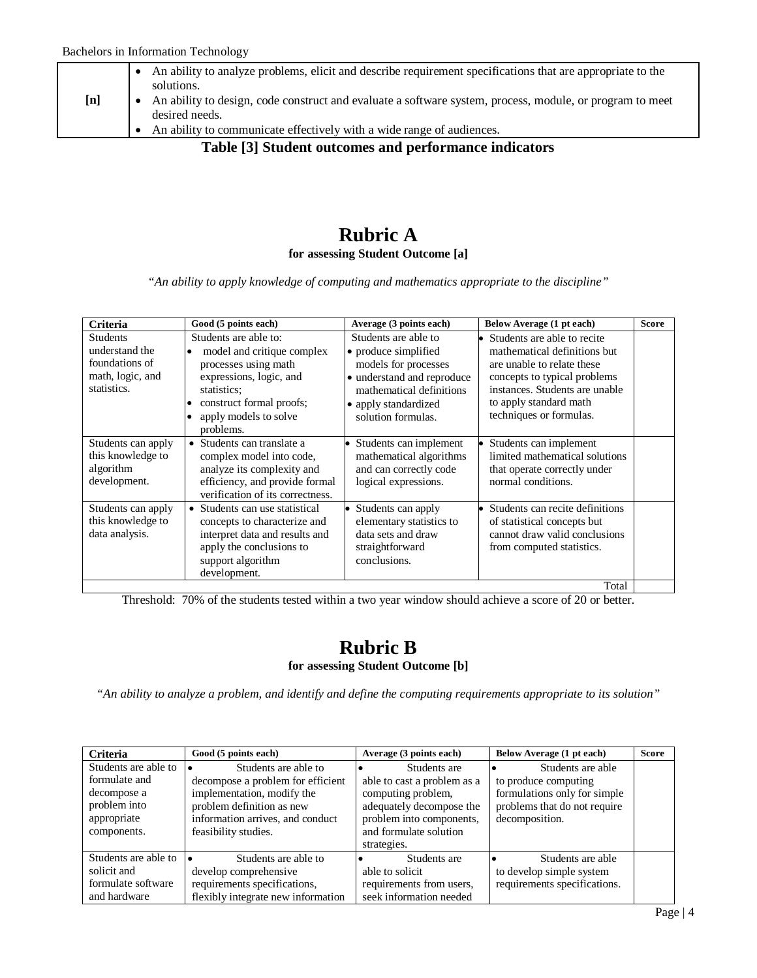|     | An ability to analyze problems, elicit and describe requirement specifications that are appropriate to the<br>solutions.   |
|-----|----------------------------------------------------------------------------------------------------------------------------|
| [n] | An ability to design, code construct and evaluate a software system, process, module, or program to meet<br>desired needs. |
|     | An ability to communicate effectively with a wide range of audiences.                                                      |

**Table [3] Student outcomes and performance indicators**

#### **Rubric A for assessing Student Outcome [a]**

*"An ability to apply knowledge of computing and mathematics appropriate to the discipline"*

| Criteria                                                                               | Good (5 points each)                                                                                                                                                                                              | Average (3 points each)                                                                                                                                                      | Below Average (1 pt each)                                                                                                                                                                                        | <b>Score</b> |
|----------------------------------------------------------------------------------------|-------------------------------------------------------------------------------------------------------------------------------------------------------------------------------------------------------------------|------------------------------------------------------------------------------------------------------------------------------------------------------------------------------|------------------------------------------------------------------------------------------------------------------------------------------------------------------------------------------------------------------|--------------|
| <b>Students</b><br>understand the<br>foundations of<br>math, logic, and<br>statistics. | Students are able to:<br>model and critique complex<br>$\bullet$<br>processes using math<br>expressions, logic, and<br>statistics:<br>construct formal proofs;<br>apply models to solve<br>$\bullet$<br>problems. | Students are able to<br>• produce simplified<br>models for processes<br>• understand and reproduce<br>mathematical definitions<br>• apply standardized<br>solution formulas. | Students are able to recite<br>mathematical definitions but<br>are unable to relate these<br>concepts to typical problems<br>instances. Students are unable<br>to apply standard math<br>techniques or formulas. |              |
| Students can apply<br>this knowledge to<br>algorithm<br>development.                   | • Students can translate a<br>complex model into code,<br>analyze its complexity and<br>efficiency, and provide formal<br>verification of its correctness.                                                        | Students can implement<br>mathematical algorithms<br>and can correctly code<br>logical expressions.                                                                          | Students can implement<br>limited mathematical solutions<br>that operate correctly under<br>normal conditions.                                                                                                   |              |
| Students can apply<br>this knowledge to<br>data analysis.                              | • Students can use statistical<br>concepts to characterize and<br>interpret data and results and<br>apply the conclusions to<br>support algorithm<br>development.                                                 | Students can apply<br>elementary statistics to<br>data sets and draw<br>straightforward<br>conclusions.                                                                      | Students can recite definitions<br>of statistical concepts but<br>cannot draw valid conclusions<br>from computed statistics.                                                                                     |              |
|                                                                                        |                                                                                                                                                                                                                   |                                                                                                                                                                              | Total                                                                                                                                                                                                            |              |

Threshold: 70% of the students tested within a two year window should achieve a score of 20 or better.

#### **Rubric B for assessing Student Outcome [b]**

*"An ability to analyze a problem, and identify and define the computing requirements appropriate to its solution"*

| <b>Criteria</b>      | Good (5 points each)               | Average (3 points each)     | Below Average (1 pt each)    | <b>Score</b> |
|----------------------|------------------------------------|-----------------------------|------------------------------|--------------|
| Students are able to | Students are able to               | Students are                | Students are able            |              |
| formulate and        | decompose a problem for efficient  | able to cast a problem as a | to produce computing         |              |
| decompose a          | implementation, modify the         | computing problem,          | formulations only for simple |              |
| problem into         | problem definition as new          | adequately decompose the    | problems that do not require |              |
| appropriate          | information arrives, and conduct   | problem into components,    | decomposition.               |              |
| components.          | feasibility studies.               | and formulate solution      |                              |              |
|                      |                                    | strategies.                 |                              |              |
| Students are able to | Students are able to               | Students are                | Students are able            |              |
| solicit and          | develop comprehensive              | able to solicit             | to develop simple system     |              |
| formulate software   | requirements specifications,       | requirements from users,    | requirements specifications. |              |
| and hardware         | flexibly integrate new information | seek information needed     |                              |              |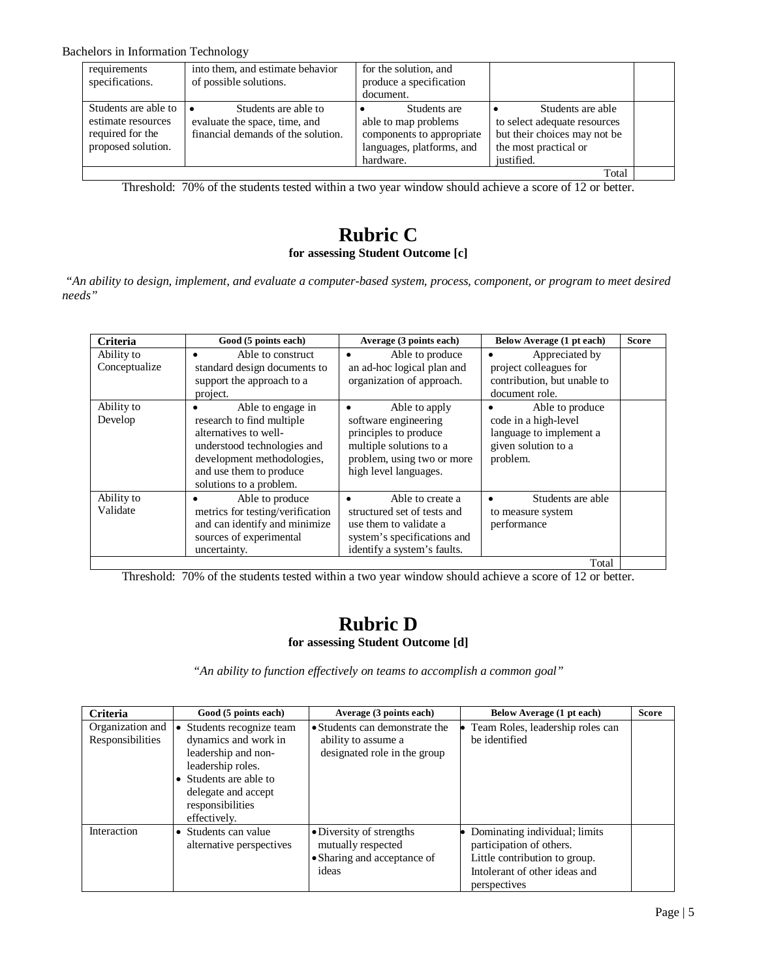Bachelors in Information Technology

| requirements<br>specifications.                                                      | into them, and estimate behavior<br>of possible solutions.                                  | for the solution, and<br>produce a specification                                                            |                                                                                                                          |  |
|--------------------------------------------------------------------------------------|---------------------------------------------------------------------------------------------|-------------------------------------------------------------------------------------------------------------|--------------------------------------------------------------------------------------------------------------------------|--|
|                                                                                      |                                                                                             | document.                                                                                                   |                                                                                                                          |  |
| Students are able to<br>estimate resources<br>required for the<br>proposed solution. | Students are able to<br>evaluate the space, time, and<br>financial demands of the solution. | Students are<br>able to map problems<br>components to appropriate<br>languages, platforms, and<br>hardware. | Students are able<br>to select adequate resources<br>but their choices may not be<br>the most practical or<br>justified. |  |
|                                                                                      |                                                                                             |                                                                                                             | Total                                                                                                                    |  |

Threshold: 70% of the students tested within a two year window should achieve a score of 12 or better.

### **Rubric C for assessing Student Outcome [c]**

*"An ability to design, implement, and evaluate a computer-based system, process, component, or program to meet desired needs"*

| <b>Criteria</b>             | Good (5 points each)                                                                                                                                                                            | Average (3 points each)                                                                                                                                       | Below Average (1 pt each)                                                                             | <b>Score</b> |
|-----------------------------|-------------------------------------------------------------------------------------------------------------------------------------------------------------------------------------------------|---------------------------------------------------------------------------------------------------------------------------------------------------------------|-------------------------------------------------------------------------------------------------------|--------------|
| Ability to<br>Conceptualize | Able to construct<br>standard design documents to<br>support the approach to a<br>project.                                                                                                      | Able to produce<br>$\bullet$<br>an ad-hoc logical plan and<br>organization of approach.                                                                       | Appreciated by<br>project colleagues for<br>contribution, but unable to<br>document role.             |              |
| Ability to<br>Develop       | Able to engage in<br>٠<br>research to find multiple<br>alternatives to well-<br>understood technologies and<br>development methodologies,<br>and use them to produce<br>solutions to a problem. | Able to apply<br>$\bullet$<br>software engineering<br>principles to produce<br>multiple solutions to a<br>problem, using two or more<br>high level languages. | Able to produce<br>code in a high-level<br>language to implement a<br>given solution to a<br>problem. |              |
| Ability to<br>Validate      | Able to produce<br>٠<br>metrics for testing/verification<br>and can identify and minimize<br>sources of experimental<br>uncertainty.                                                            | Able to create a<br>$\bullet$<br>structured set of tests and<br>use them to validate a<br>system's specifications and<br>identify a system's faults.          | Students are able<br>to measure system<br>performance                                                 |              |
|                             |                                                                                                                                                                                                 |                                                                                                                                                               | Total                                                                                                 |              |

Threshold: 70% of the students tested within a two year window should achieve a score of 12 or better.

### **Rubric D for assessing Student Outcome [d]**

*"An ability to function effectively on teams to accomplish a common goal"*

| <b>Criteria</b>                      | Good (5 points each)                                                                                                                                                             | Average (3 points each)                                                                | Below Average (1 pt each)                                                                                                                   | <b>Score</b> |
|--------------------------------------|----------------------------------------------------------------------------------------------------------------------------------------------------------------------------------|----------------------------------------------------------------------------------------|---------------------------------------------------------------------------------------------------------------------------------------------|--------------|
| Organization and<br>Responsibilities | Students recognize team<br>dynamics and work in<br>leadership and non-<br>leadership roles.<br>• Students are able to<br>delegate and accept<br>responsibilities<br>effectively. | • Students can demonstrate the<br>ability to assume a<br>designated role in the group  | Team Roles, leadership roles can<br>be identified                                                                                           |              |
| Interaction                          | Students can value<br>$\bullet$<br>alternative perspectives                                                                                                                      | • Diversity of strengths<br>mutually respected<br>• Sharing and acceptance of<br>ideas | Dominating individual; limits<br>participation of others.<br>Little contribution to group.<br>Intolerant of other ideas and<br>perspectives |              |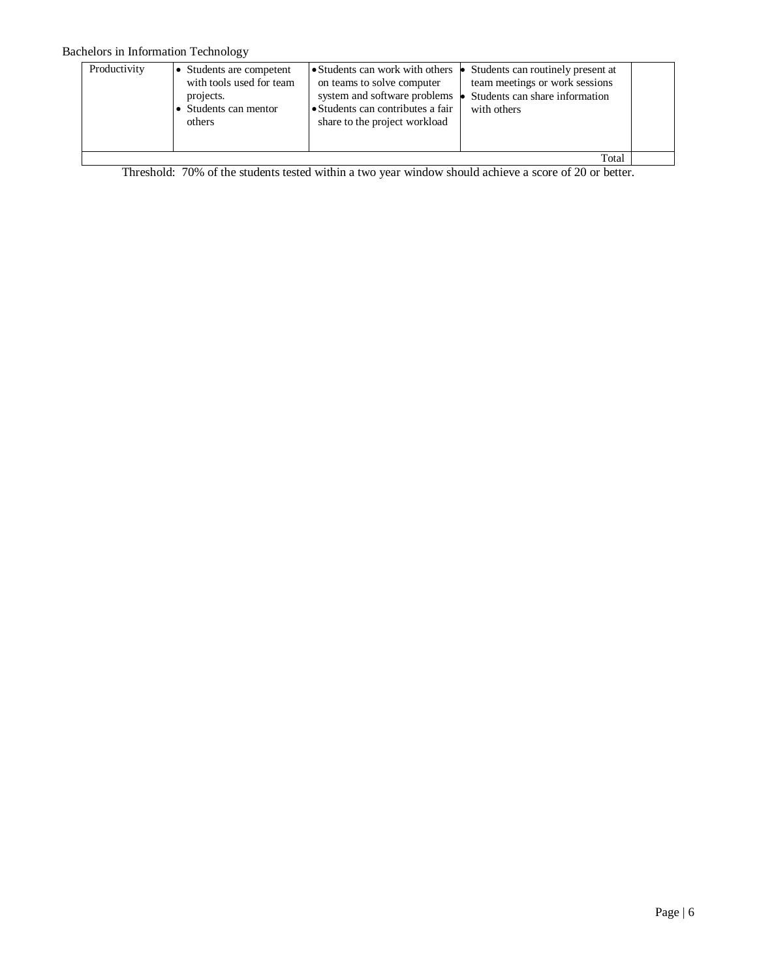#### Bachelors in Information Technology

| Productivity | • Students are competent<br>with tools used for team<br>projects.<br>• Students can mentor<br>others | • Students can work with others<br>on teams to solve computer<br>system and software problems<br>• Students can contributes a fair<br>share to the project workload | Students can routinely present at<br>team meetings or work sessions<br>Students can share information<br>with others |  |  |
|--------------|------------------------------------------------------------------------------------------------------|---------------------------------------------------------------------------------------------------------------------------------------------------------------------|----------------------------------------------------------------------------------------------------------------------|--|--|
| Total        |                                                                                                      |                                                                                                                                                                     |                                                                                                                      |  |  |

Threshold: 70% of the students tested within a two year window should achieve a score of 20 or better.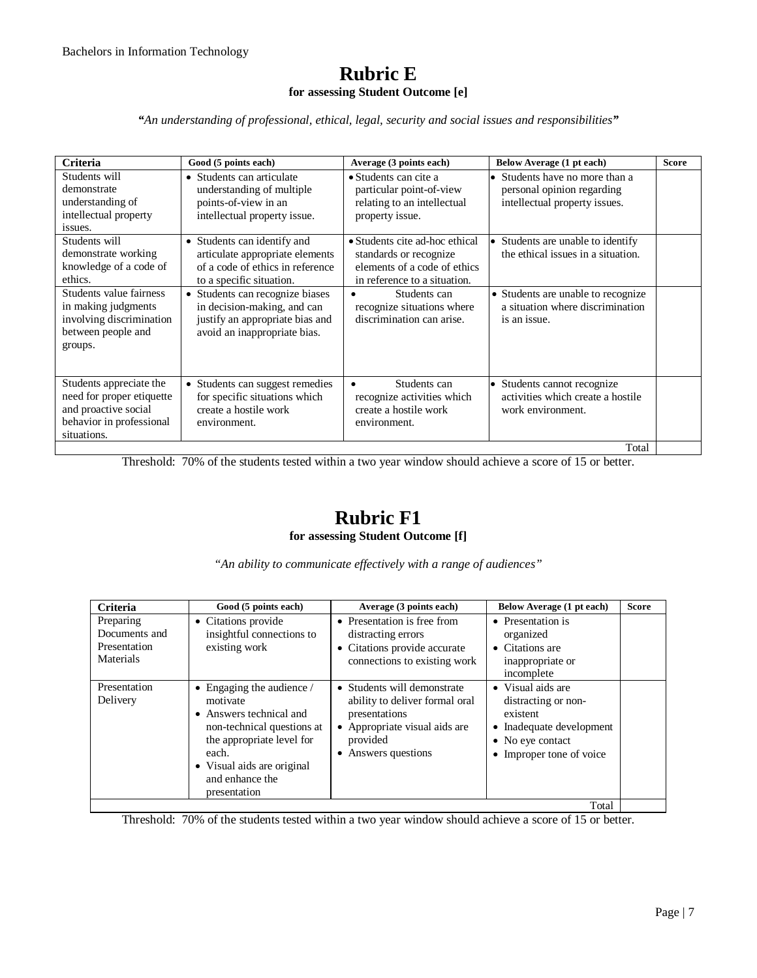#### **Rubric E for assessing Student Outcome [e]**

*"An understanding of professional, ethical, legal, security and social issues and responsibilities"*

| <b>Criteria</b>                                                                                                         | Good (5 points each)                                                                                                              | Average (3 points each)                                                                                                  | Below Average (1 pt each)                                                                   | <b>Score</b> |
|-------------------------------------------------------------------------------------------------------------------------|-----------------------------------------------------------------------------------------------------------------------------------|--------------------------------------------------------------------------------------------------------------------------|---------------------------------------------------------------------------------------------|--------------|
| Students will<br>demonstrate<br>understanding of<br>intellectual property<br>issues.                                    | • Students can articulate<br>understanding of multiple<br>points-of-view in an<br>intellectual property issue.                    | $\bullet$ Students can cite a<br>particular point-of-view<br>relating to an intellectual<br>property issue.              | Students have no more than a<br>personal opinion regarding<br>intellectual property issues. |              |
| Students will<br>demonstrate working<br>knowledge of a code of<br>ethics.                                               | • Students can identify and<br>articulate appropriate elements<br>of a code of ethics in reference<br>to a specific situation.    | • Students cite ad-hoc ethical<br>standards or recognize<br>elements of a code of ethics<br>in reference to a situation. | Students are unable to identify<br>the ethical issues in a situation.                       |              |
| Students value fairness<br>in making judgments<br>involving discrimination<br>between people and<br>groups.             | • Students can recognize biases<br>in decision-making, and can<br>justify an appropriate bias and<br>avoid an inappropriate bias. | Students can<br>recognize situations where<br>discrimination can arise.                                                  | • Students are unable to recognize<br>a situation where discrimination<br>is an issue.      |              |
| Students appreciate the<br>need for proper etiquette<br>and proactive social<br>behavior in professional<br>situations. | • Students can suggest remedies<br>for specific situations which<br>create a hostile work<br>environment.                         | Students can<br>$\bullet$<br>recognize activities which<br>create a hostile work<br>environment.                         | Students cannot recognize<br>activities which create a hostile<br>work environment.         |              |
|                                                                                                                         |                                                                                                                                   |                                                                                                                          | Total                                                                                       |              |

Threshold: 70% of the students tested within a two year window should achieve a score of 15 or better.

#### **Rubric F1 for assessing Student Outcome [f]**

*"An ability to communicate effectively with a range of audiences"*

| <b>Criteria</b>                                         | Good (5 points each)                                                                                                                                                                                       | Average (3 points each)                                                                                                                                     | Below Average (1 pt each)                                                                                                        | <b>Score</b> |
|---------------------------------------------------------|------------------------------------------------------------------------------------------------------------------------------------------------------------------------------------------------------------|-------------------------------------------------------------------------------------------------------------------------------------------------------------|----------------------------------------------------------------------------------------------------------------------------------|--------------|
| Preparing<br>Documents and<br>Presentation<br>Materials | • Citations provide<br>insightful connections to<br>existing work                                                                                                                                          | • Presentation is free from<br>distracting errors<br>• Citations provide accurate<br>connections to existing work                                           | • Presentation is<br>organized<br>$\bullet$ Citations are<br>inappropriate or<br>incomplete                                      |              |
| Presentation<br>Delivery                                | • Engaging the audience $\ell$<br>motivate<br>• Answers technical and<br>non-technical questions at<br>the appropriate level for<br>each.<br>• Visual aids are original<br>and enhance the<br>presentation | • Students will demonstrate<br>ability to deliver formal oral<br>presentations<br>Appropriate visual aids are<br>provided<br>Answers questions<br>$\bullet$ | • Visual aids are<br>distracting or non-<br>existent<br>• Inadequate development<br>• No eye contact<br>• Improper tone of voice |              |
|                                                         |                                                                                                                                                                                                            |                                                                                                                                                             | Total                                                                                                                            |              |

Threshold: 70% of the students tested within a two year window should achieve a score of 15 or better.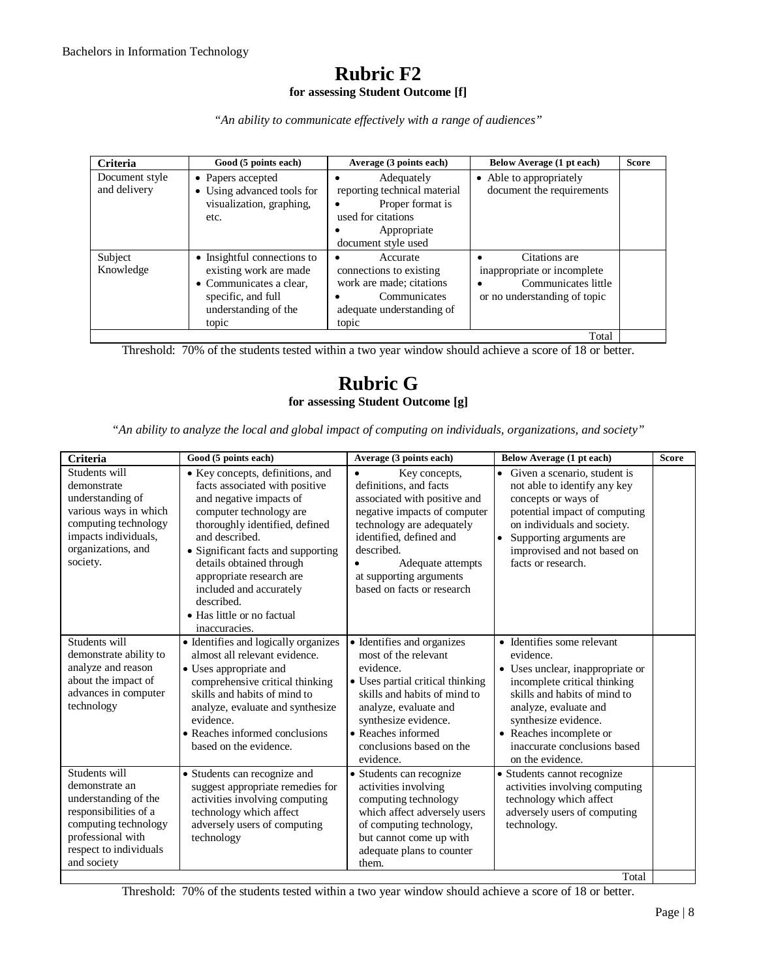#### **Rubric F2 for assessing Student Outcome [f]**

*"An ability to communicate effectively with a range of audiences"*

| <b>Criteria</b>                | Good (5 points each)                                                                                                                    | Average (3 points each)                                                                                                    | Below Average (1 pt each)                                                                                                     | <b>Score</b> |
|--------------------------------|-----------------------------------------------------------------------------------------------------------------------------------------|----------------------------------------------------------------------------------------------------------------------------|-------------------------------------------------------------------------------------------------------------------------------|--------------|
| Document style<br>and delivery | • Papers accepted<br>• Using advanced tools for<br>visualization, graphing,<br>etc.                                                     | Adequately<br>reporting technical material<br>Proper format is<br>used for citations<br>Appropriate<br>document style used | • Able to appropriately<br>document the requirements                                                                          |              |
| Subject<br>Knowledge           | • Insightful connections to<br>existing work are made<br>• Communicates a clear,<br>specific, and full<br>understanding of the<br>topic | Accurate<br>connections to existing<br>work are made; citations<br>Communicates<br>adequate understanding of<br>topic      | Citations are<br>$\bullet$<br>inappropriate or incomplete<br>Communicates little<br>$\bullet$<br>or no understanding of topic |              |
|                                |                                                                                                                                         |                                                                                                                            | Total                                                                                                                         |              |

Threshold: 70% of the students tested within a two year window should achieve a score of 18 or better.

# **Rubric G for assessing Student Outcome [g]**

*"An ability to analyze the local and global impact of computing on individuals, organizations, and society"*

| Students will<br>demonstrate<br>understanding of<br>various ways in which<br>computing technology<br>impacts individuals,<br>organizations, and<br>society.            | • Key concepts, definitions, and<br>facts associated with positive<br>and negative impacts of<br>computer technology are<br>thoroughly identified, defined<br>and described.<br>• Significant facts and supporting<br>details obtained through<br>appropriate research are<br>included and accurately<br>described.<br>• Has little or no factual<br>inaccuracies. | Key concepts,<br>$\bullet$<br>definitions, and facts<br>associated with positive and<br>negative impacts of computer<br>technology are adequately<br>identified, defined and<br>described.<br>Adequate attempts<br>at supporting arguments<br>based on facts or research | Given a scenario, student is<br>$\bullet$<br>not able to identify any key<br>concepts or ways of<br>potential impact of computing<br>on individuals and society.<br>Supporting arguments are<br>$\bullet$<br>improvised and not based on<br>facts or research.              |  |
|------------------------------------------------------------------------------------------------------------------------------------------------------------------------|--------------------------------------------------------------------------------------------------------------------------------------------------------------------------------------------------------------------------------------------------------------------------------------------------------------------------------------------------------------------|--------------------------------------------------------------------------------------------------------------------------------------------------------------------------------------------------------------------------------------------------------------------------|-----------------------------------------------------------------------------------------------------------------------------------------------------------------------------------------------------------------------------------------------------------------------------|--|
| Students will<br>demonstrate ability to<br>analyze and reason<br>about the impact of<br>advances in computer<br>technology                                             | • Identifies and logically organizes<br>almost all relevant evidence.<br>• Uses appropriate and<br>comprehensive critical thinking<br>skills and habits of mind to<br>analyze, evaluate and synthesize<br>evidence.<br>• Reaches informed conclusions<br>based on the evidence.                                                                                    | • Identifies and organizes<br>most of the relevant<br>evidence.<br>• Uses partial critical thinking<br>skills and habits of mind to<br>analyze, evaluate and<br>synthesize evidence.<br>• Reaches informed<br>conclusions based on the<br>evidence.                      | • Identifies some relevant<br>evidence.<br>• Uses unclear, inappropriate or<br>incomplete critical thinking<br>skills and habits of mind to<br>analyze, evaluate and<br>synthesize evidence.<br>• Reaches incomplete or<br>inaccurate conclusions based<br>on the evidence. |  |
| Students will<br>demonstrate an<br>understanding of the<br>responsibilities of a<br>computing technology<br>professional with<br>respect to individuals<br>and society | • Students can recognize and<br>suggest appropriate remedies for<br>activities involving computing<br>technology which affect<br>adversely users of computing<br>technology                                                                                                                                                                                        | • Students can recognize<br>activities involving<br>computing technology<br>which affect adversely users<br>of computing technology,<br>but cannot come up with<br>adequate plans to counter<br>them.                                                                    | • Students cannot recognize<br>activities involving computing<br>technology which affect<br>adversely users of computing<br>technology.<br>Total                                                                                                                            |  |

Threshold: 70% of the students tested within a two year window should achieve a score of 18 or better.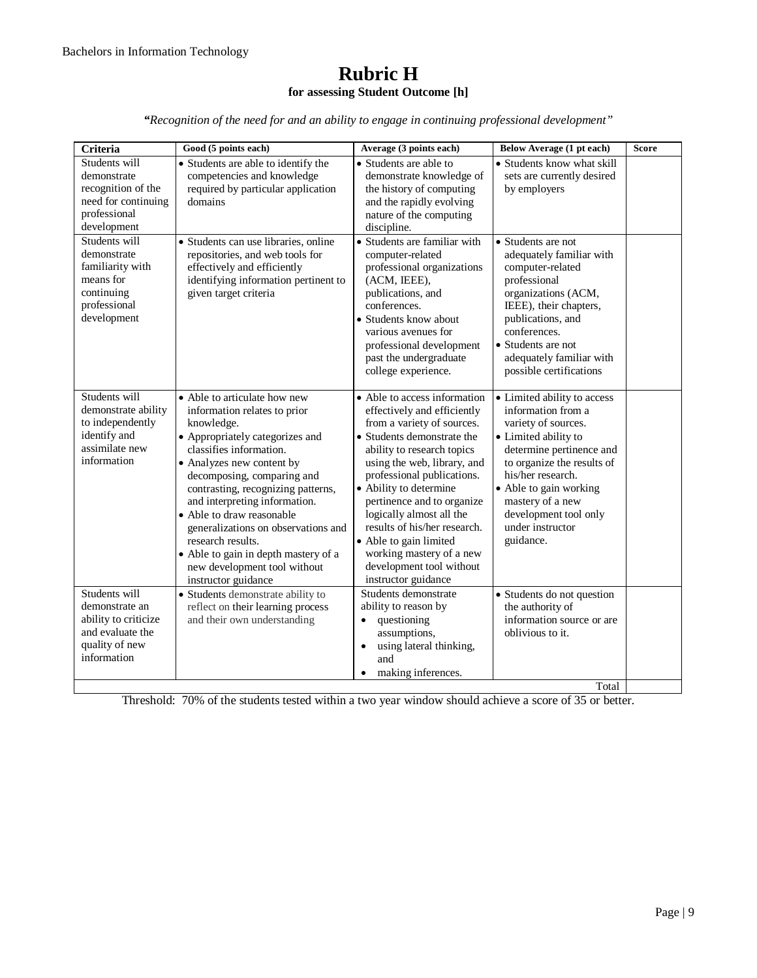#### **Rubric H for assessing Student Outcome [h]**

*"Recognition of the need for and an ability to engage in continuing professional development"*

| Criteria                                                                                                     | Good (5 points each)                                                                                                                                                                                                                                                                                                                                                                                                                                               | Average (3 points each)                                                                                                                                                                                                                                                                                                                                                                                                                         | Below Average (1 pt each)                                                                                                                                                                                                                                                               | <b>Score</b> |
|--------------------------------------------------------------------------------------------------------------|--------------------------------------------------------------------------------------------------------------------------------------------------------------------------------------------------------------------------------------------------------------------------------------------------------------------------------------------------------------------------------------------------------------------------------------------------------------------|-------------------------------------------------------------------------------------------------------------------------------------------------------------------------------------------------------------------------------------------------------------------------------------------------------------------------------------------------------------------------------------------------------------------------------------------------|-----------------------------------------------------------------------------------------------------------------------------------------------------------------------------------------------------------------------------------------------------------------------------------------|--------------|
| Students will<br>demonstrate<br>recognition of the<br>need for continuing<br>professional<br>development     | • Students are able to identify the<br>competencies and knowledge<br>required by particular application<br>domains                                                                                                                                                                                                                                                                                                                                                 | • Students are able to<br>demonstrate knowledge of<br>the history of computing<br>and the rapidly evolving<br>nature of the computing<br>discipline.                                                                                                                                                                                                                                                                                            | • Students know what skill<br>sets are currently desired<br>by employers                                                                                                                                                                                                                |              |
| Students will<br>demonstrate<br>familiarity with<br>means for<br>continuing<br>professional<br>development   | · Students can use libraries, online<br>repositories, and web tools for<br>effectively and efficiently<br>identifying information pertinent to<br>given target criteria                                                                                                                                                                                                                                                                                            | • Students are familiar with<br>computer-related<br>professional organizations<br>(ACM, IEEE),<br>publications, and<br>conferences.<br>• Students know about<br>various avenues for<br>professional development<br>past the undergraduate<br>college experience.                                                                                                                                                                                | • Students are not<br>adequately familiar with<br>computer-related<br>professional<br>organizations (ACM,<br>IEEE), their chapters,<br>publications, and<br>conferences.<br>• Students are not<br>adequately familiar with<br>possible certifications                                   |              |
| Students will<br>demonstrate ability<br>to independently<br>identify and<br>assimilate new<br>information    | • Able to articulate how new<br>information relates to prior<br>knowledge.<br>• Appropriately categorizes and<br>classifies information.<br>• Analyzes new content by<br>decomposing, comparing and<br>contrasting, recognizing patterns,<br>and interpreting information.<br>• Able to draw reasonable<br>generalizations on observations and<br>research results.<br>• Able to gain in depth mastery of a<br>new development tool without<br>instructor guidance | • Able to access information<br>effectively and efficiently<br>from a variety of sources.<br>• Students demonstrate the<br>ability to research topics<br>using the web, library, and<br>professional publications.<br>• Ability to determine<br>pertinence and to organize<br>logically almost all the<br>results of his/her research.<br>• Able to gain limited<br>working mastery of a new<br>development tool without<br>instructor guidance | • Limited ability to access<br>information from a<br>variety of sources.<br>• Limited ability to<br>determine pertinence and<br>to organize the results of<br>his/her research.<br>• Able to gain working<br>mastery of a new<br>development tool only<br>under instructor<br>guidance. |              |
| Students will<br>demonstrate an<br>ability to criticize<br>and evaluate the<br>quality of new<br>information | • Students demonstrate ability to<br>reflect on their learning process<br>and their own understanding                                                                                                                                                                                                                                                                                                                                                              | Students demonstrate<br>ability to reason by<br>questioning<br>assumptions,<br>using lateral thinking,<br>$\bullet$<br>and<br>making inferences.                                                                                                                                                                                                                                                                                                | • Students do not question<br>the authority of<br>information source or are<br>oblivious to it.<br>Total                                                                                                                                                                                |              |

Threshold: 70% of the students tested within a two year window should achieve a score of 35 or better.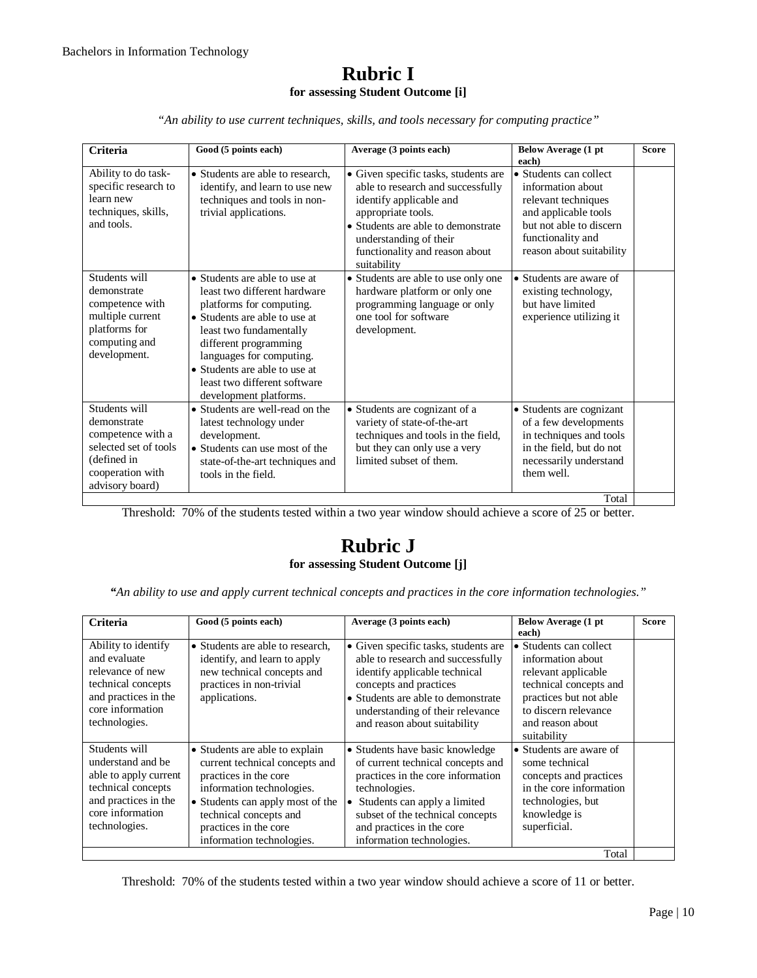#### **Rubric I for assessing Student Outcome [i]**

*"An ability to use current techniques, skills, and tools necessary for computing practice"*

| Criteria                                                                                                                         | Good (5 points each)                                                                                                                                                                                                                                                                                  | Average (3 points each)                                                                                                                                                                                                                     | <b>Below Average (1 pt</b><br>each)                                                                                                                                    | <b>Score</b> |
|----------------------------------------------------------------------------------------------------------------------------------|-------------------------------------------------------------------------------------------------------------------------------------------------------------------------------------------------------------------------------------------------------------------------------------------------------|---------------------------------------------------------------------------------------------------------------------------------------------------------------------------------------------------------------------------------------------|------------------------------------------------------------------------------------------------------------------------------------------------------------------------|--------------|
| Ability to do task-<br>specific research to<br>learn new<br>techniques, skills,<br>and tools.                                    | • Students are able to research.<br>identify, and learn to use new<br>techniques and tools in non-<br>trivial applications.                                                                                                                                                                           | • Given specific tasks, students are<br>able to research and successfully<br>identify applicable and<br>appropriate tools.<br>• Students are able to demonstrate<br>understanding of their<br>functionality and reason about<br>suitability | • Students can collect<br>information about<br>relevant techniques<br>and applicable tools<br>but not able to discern<br>functionality and<br>reason about suitability |              |
| Students will<br>demonstrate<br>competence with<br>multiple current<br>platforms for<br>computing and<br>development.            | • Students are able to use at<br>least two different hardware<br>platforms for computing.<br>• Students are able to use at<br>least two fundamentally<br>different programming<br>languages for computing.<br>• Students are able to use at<br>least two different software<br>development platforms. | • Students are able to use only one<br>hardware platform or only one<br>programming language or only<br>one tool for software<br>development.                                                                                               | • Students are aware of<br>existing technology,<br>but have limited<br>experience utilizing it                                                                         |              |
| Students will<br>demonstrate<br>competence with a<br>selected set of tools<br>(defined in<br>cooperation with<br>advisory board) | • Students are well-read on the<br>latest technology under<br>development.<br>• Students can use most of the<br>state-of-the-art techniques and<br>tools in the field.                                                                                                                                | • Students are cognizant of a<br>variety of state-of-the-art<br>techniques and tools in the field,<br>but they can only use a very<br>limited subset of them.                                                                               | • Students are cognizant<br>of a few developments<br>in techniques and tools<br>in the field, but do not<br>necessarily understand<br>them well.                       |              |
|                                                                                                                                  |                                                                                                                                                                                                                                                                                                       |                                                                                                                                                                                                                                             | Total                                                                                                                                                                  |              |

Threshold: 70% of the students tested within a two year window should achieve a score of 25 or better.

## **Rubric J for assessing Student Outcome [j]**

*"An ability to use and apply current technical concepts and practices in the core information technologies."*

| <b>Criteria</b>                                                                                                                                | Good (5 points each)                                                                                                                                                                                                                       | Average (3 points each)                                                                                                                                                                                                                                  | Below Average (1 pt<br>each)                                                                                                                                                      | <b>Score</b> |
|------------------------------------------------------------------------------------------------------------------------------------------------|--------------------------------------------------------------------------------------------------------------------------------------------------------------------------------------------------------------------------------------------|----------------------------------------------------------------------------------------------------------------------------------------------------------------------------------------------------------------------------------------------------------|-----------------------------------------------------------------------------------------------------------------------------------------------------------------------------------|--------------|
| Ability to identify<br>and evaluate<br>relevance of new<br>technical concepts<br>and practices in the<br>core information<br>technologies.     | • Students are able to research.<br>identify, and learn to apply<br>new technical concepts and<br>practices in non-trivial<br>applications.                                                                                                | • Given specific tasks, students are<br>able to research and successfully<br>identify applicable technical<br>concepts and practices<br>• Students are able to demonstrate<br>understanding of their relevance<br>and reason about suitability           | • Students can collect<br>information about<br>relevant applicable<br>technical concepts and<br>practices but not able<br>to discern relevance<br>and reason about<br>suitability |              |
| Students will<br>understand and be<br>able to apply current<br>technical concepts<br>and practices in the<br>core information<br>technologies. | • Students are able to explain<br>current technical concepts and<br>practices in the core<br>information technologies.<br>• Students can apply most of the<br>technical concepts and<br>practices in the core<br>information technologies. | • Students have basic knowledge<br>of current technical concepts and<br>practices in the core information<br>technologies.<br>Students can apply a limited<br>subset of the technical concepts<br>and practices in the core<br>information technologies. | • Students are aware of<br>some technical<br>concepts and practices<br>in the core information<br>technologies, but<br>knowledge is<br>superficial.                               |              |
|                                                                                                                                                |                                                                                                                                                                                                                                            |                                                                                                                                                                                                                                                          | Total                                                                                                                                                                             |              |

Threshold: 70% of the students tested within a two year window should achieve a score of 11 or better.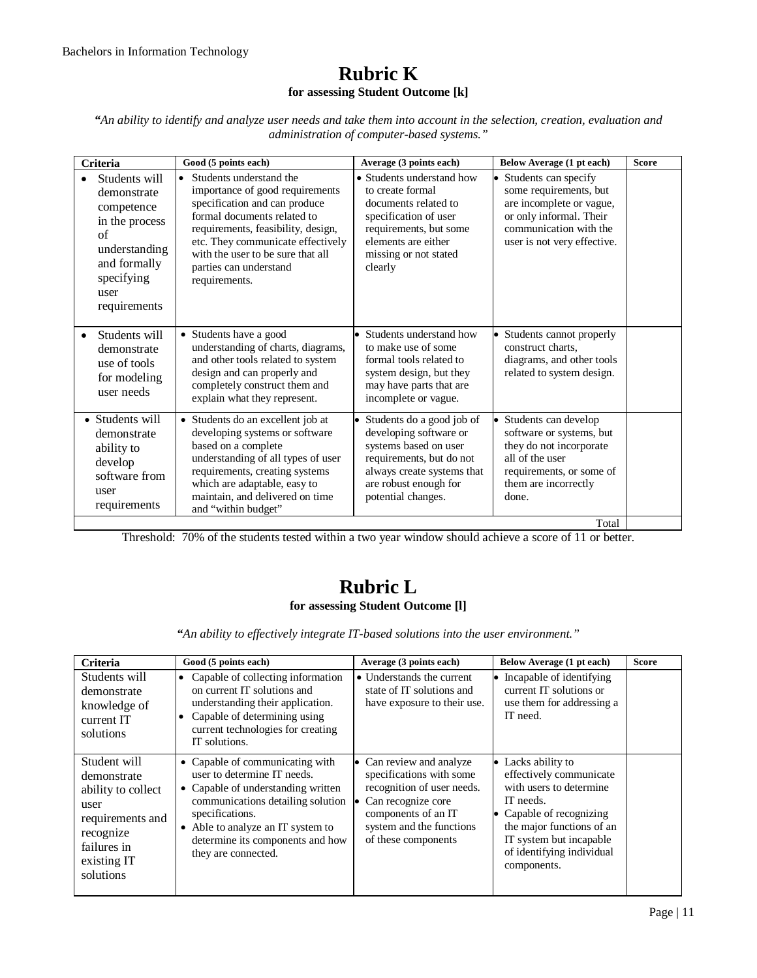#### **Rubric K for assessing Student Outcome [k]**

*"An ability to identify and analyze user needs and take them into account in the selection, creation, evaluation and administration of computer-based systems."*

| Criteria                                                                                                                                  | Good (5 points each)                                                                                                                                                                                                                                                                               | Average (3 points each)                                                                                                                                                                 | Below Average (1 pt each)                                                                                                                                                   | <b>Score</b> |
|-------------------------------------------------------------------------------------------------------------------------------------------|----------------------------------------------------------------------------------------------------------------------------------------------------------------------------------------------------------------------------------------------------------------------------------------------------|-----------------------------------------------------------------------------------------------------------------------------------------------------------------------------------------|-----------------------------------------------------------------------------------------------------------------------------------------------------------------------------|--------------|
| Students will<br>demonstrate<br>competence<br>in the process<br>of<br>understanding<br>and formally<br>specifying<br>user<br>requirements | Students understand the<br>$\bullet$<br>importance of good requirements<br>specification and can produce<br>formal documents related to<br>requirements, feasibility, design,<br>etc. They communicate effectively<br>with the user to be sure that all<br>parties can understand<br>requirements. | • Students understand how<br>to create formal<br>documents related to<br>specification of user<br>requirements, but some<br>elements are either<br>missing or not stated<br>clearly     | Students can specify<br>$\bullet$<br>some requirements, but<br>are incomplete or vague,<br>or only informal. Their<br>communication with the<br>user is not very effective. |              |
| Students will<br>demonstrate<br>use of tools<br>for modeling<br>user needs                                                                | • Students have a good<br>understanding of charts, diagrams,<br>and other tools related to system<br>design and can properly and<br>completely construct them and<br>explain what they represent.                                                                                                  | • Students understand how<br>to make use of some<br>formal tools related to<br>system design, but they<br>may have parts that are<br>incomplete or vague.                               | • Students cannot properly<br>construct charts.<br>diagrams, and other tools<br>related to system design.                                                                   |              |
| • Students will<br>demonstrate<br>ability to<br>develop<br>software from<br>user<br>requirements                                          | • Students do an excellent job at<br>developing systems or software<br>based on a complete<br>understanding of all types of user<br>requirements, creating systems<br>which are adaptable, easy to<br>maintain, and delivered on time<br>and "within budget"                                       | • Students do a good job of<br>developing software or<br>systems based on user<br>requirements, but do not<br>always create systems that<br>are robust enough for<br>potential changes. | Students can develop<br>software or systems, but<br>they do not incorporate<br>all of the user<br>requirements, or some of<br>them are incorrectly<br>done.                 |              |
|                                                                                                                                           |                                                                                                                                                                                                                                                                                                    |                                                                                                                                                                                         | Total                                                                                                                                                                       |              |

Threshold: 70% of the students tested within a two year window should achieve a score of 11 or better.

## **Rubric L for assessing Student Outcome [l]**

*"An ability to effectively integrate IT-based solutions into the user environment."*

| Criteria                                                                                                                              | Good (5 points each)                                                                                                                                                                                                                                            | Average (3 points each)                                                                                                                                                              | Below Average (1 pt each)                                                                                                                                                                                             | <b>Score</b> |
|---------------------------------------------------------------------------------------------------------------------------------------|-----------------------------------------------------------------------------------------------------------------------------------------------------------------------------------------------------------------------------------------------------------------|--------------------------------------------------------------------------------------------------------------------------------------------------------------------------------------|-----------------------------------------------------------------------------------------------------------------------------------------------------------------------------------------------------------------------|--------------|
| Students will<br>demonstrate<br>knowledge of<br>current IT<br>solutions                                                               | Capable of collecting information<br>$\bullet$<br>on current IT solutions and<br>understanding their application.<br>Capable of determining using<br>$\bullet$<br>current technologies for creating<br>IT solutions.                                            | • Understands the current<br>state of IT solutions and<br>have exposure to their use.                                                                                                | • Incapable of identifying<br>current IT solutions or<br>use them for addressing a<br>IT need.                                                                                                                        |              |
| Student will<br>demonstrate<br>ability to collect<br>user<br>requirements and<br>recognize<br>failures in<br>existing IT<br>solutions | • Capable of communicating with<br>user to determine IT needs.<br>• Capable of understanding written<br>communications detailing solution<br>specifications.<br>Able to analyze an IT system to<br>٠<br>determine its components and how<br>they are connected. | • Can review and analyze<br>specifications with some<br>recognition of user needs.<br>• Can recognize core<br>components of an IT<br>system and the functions<br>of these components | • Lacks ability to<br>effectively communicate<br>with users to determine<br>IT needs.<br>• Capable of recognizing<br>the major functions of an<br>IT system but incapable<br>of identifying individual<br>components. |              |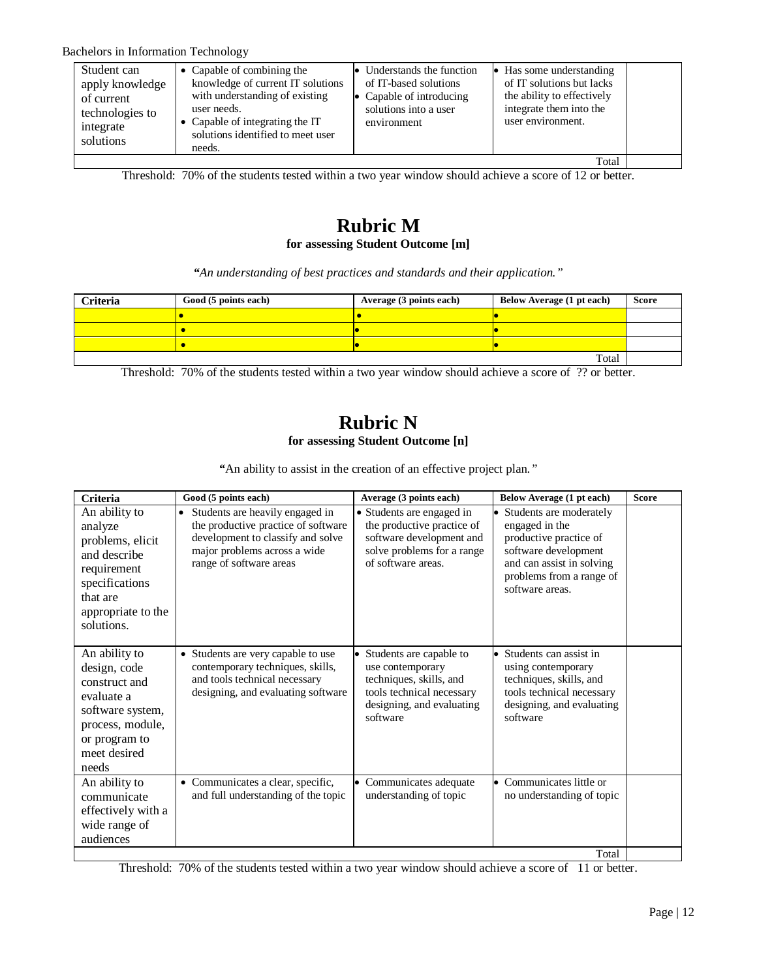| Student can<br>apply knowledge<br>of current<br>technologies to<br>integrate<br>solutions | • Capable of combining the<br>knowledge of current IT solutions<br>with understanding of existing<br>user needs.<br>• Capable of integrating the IT<br>solutions identified to meet user<br>needs. | • Understands the function<br>of IT-based solutions<br>• Capable of introducing<br>solutions into a user<br>environment | $\bullet$ Has some understanding<br>of IT solutions but lacks<br>the ability to effectively<br>integrate them into the<br>user environment. |  |
|-------------------------------------------------------------------------------------------|----------------------------------------------------------------------------------------------------------------------------------------------------------------------------------------------------|-------------------------------------------------------------------------------------------------------------------------|---------------------------------------------------------------------------------------------------------------------------------------------|--|
|                                                                                           |                                                                                                                                                                                                    |                                                                                                                         | Total                                                                                                                                       |  |

Threshold: 70% of the students tested within a two year window should achieve a score of 12 or better.

## **Rubric M for assessing Student Outcome [m]**

*"An understanding of best practices and standards and their application."*

| <b>Criteria</b> | Good (5 points each) | Average (3 points each) | Below Average (1 pt each) | <b>Score</b> |
|-----------------|----------------------|-------------------------|---------------------------|--------------|
|                 |                      |                         |                           |              |
|                 |                      |                         |                           |              |
|                 |                      |                         |                           |              |
|                 |                      |                         | Total                     |              |

Threshold: 70% of the students tested within a two year window should achieve a score of ?? or better.

# **Rubric N for assessing Student Outcome [n]**

*"*An ability to assist in the creation of an effective project plan*."*

| <b>Criteria</b>                                                                                                                                | Good (5 points each)                                                                                                                                                                | Average (3 points each)                                                                                                                        | Below Average (1 pt each)                                                                                                                                                 | <b>Score</b> |
|------------------------------------------------------------------------------------------------------------------------------------------------|-------------------------------------------------------------------------------------------------------------------------------------------------------------------------------------|------------------------------------------------------------------------------------------------------------------------------------------------|---------------------------------------------------------------------------------------------------------------------------------------------------------------------------|--------------|
| An ability to<br>analyze<br>problems, elicit<br>and describe<br>requirement<br>specifications<br>that are<br>appropriate to the<br>solutions.  | Students are heavily engaged in<br>$\bullet$<br>the productive practice of software<br>development to classify and solve<br>major problems across a wide<br>range of software areas | • Students are engaged in<br>the productive practice of<br>software development and<br>solve problems for a range<br>of software areas.        | • Students are moderately<br>engaged in the<br>productive practice of<br>software development<br>and can assist in solving<br>problems from a range of<br>software areas. |              |
| An ability to<br>design, code<br>construct and<br>evaluate a<br>software system,<br>process, module,<br>or program to<br>meet desired<br>needs | • Students are very capable to use<br>contemporary techniques, skills,<br>and tools technical necessary<br>designing, and evaluating software                                       | • Students are capable to<br>use contemporary<br>techniques, skills, and<br>tools technical necessary<br>designing, and evaluating<br>software | • Students can assist in<br>using contemporary<br>techniques, skills, and<br>tools technical necessary<br>designing, and evaluating<br>software                           |              |
| An ability to<br>communicate<br>effectively with a<br>wide range of<br>audiences                                                               | • Communicates a clear, specific,<br>and full understanding of the topic                                                                                                            | • Communicates adequate<br>understanding of topic                                                                                              | • Communicates little or<br>no understanding of topic                                                                                                                     |              |
|                                                                                                                                                |                                                                                                                                                                                     |                                                                                                                                                | Total                                                                                                                                                                     |              |

Threshold: 70% of the students tested within a two year window should achieve a score of 11 or better.